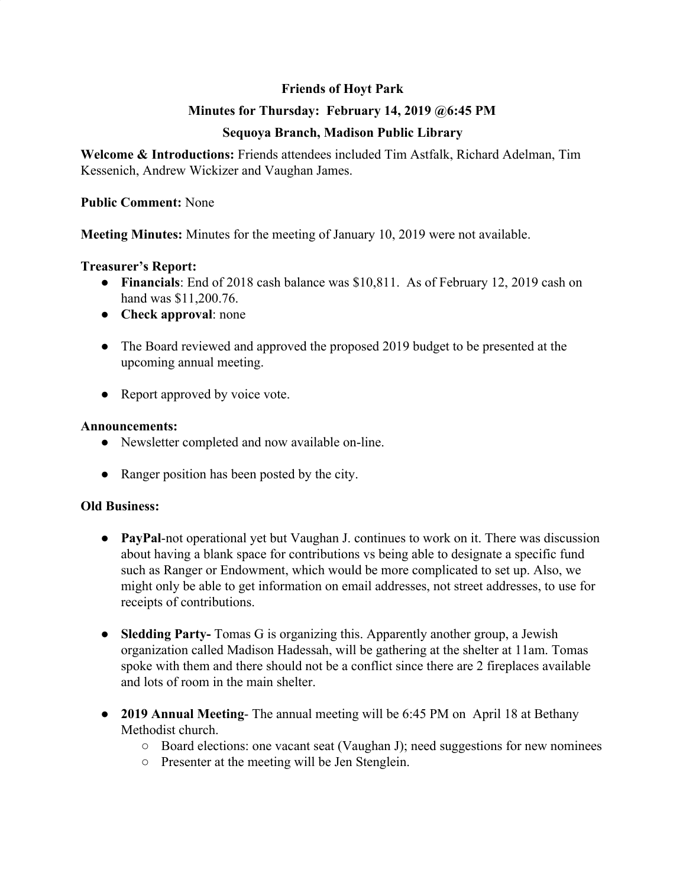# **Friends of Hoyt Park**

# **Minutes for Thursday: February 14, 2019 @6:45 PM**

# **Sequoya Branch, Madison Public Library**

**Welcome & Introductions:** Friends attendees included Tim Astfalk, Richard Adelman, Tim Kessenich, Andrew Wickizer and Vaughan James.

### **Public Comment:** None

**Meeting Minutes:** Minutes for the meeting of January 10, 2019 were not available.

### **Treasurer's Report:**

- **Financials**: End of 2018 cash balance was \$10,811. As of February 12, 2019 cash on hand was \$11,200.76.
- **Check approval**: none
- The Board reviewed and approved the proposed 2019 budget to be presented at the upcoming annual meeting.
- Report approved by voice vote.

#### **Announcements:**

- Newsletter completed and now available on-line.
- Ranger position has been posted by the city.

## **Old Business:**

- **● PayPal**-not operational yet but Vaughan J. continues to work on it. There was discussion about having a blank space for contributions vs being able to designate a specific fund such as Ranger or Endowment, which would be more complicated to set up. Also, we might only be able to get information on email addresses, not street addresses, to use for receipts of contributions.
- **● Sledding Party-** Tomas G is organizing this. Apparently another group, a Jewish organization called Madison Hadessah, will be gathering at the shelter at 11am. Tomas spoke with them and there should not be a conflict since there are 2 fireplaces available and lots of room in the main shelter.
- **● 2019 Annual Meeting** The annual meeting will be 6:45 PM on April 18 at Bethany Methodist church.
	- Board elections: one vacant seat (Vaughan J); need suggestions for new nominees
	- Presenter at the meeting will be Jen Stenglein.